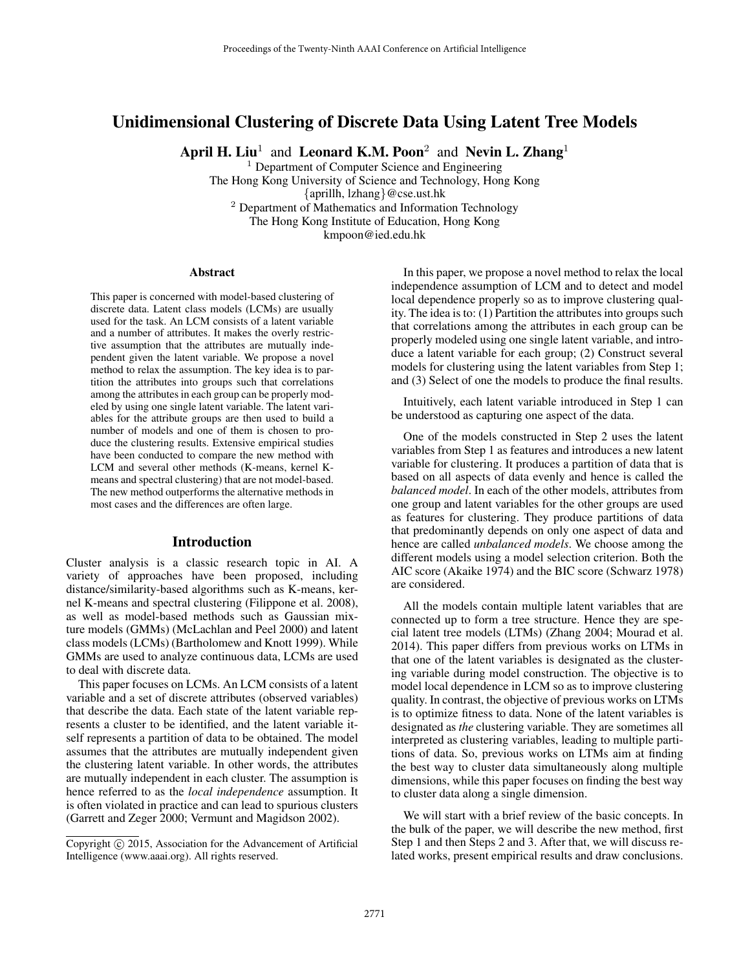# Unidimensional Clustering of Discrete Data Using Latent Tree Models

April H. Liu<sup>1</sup> and Leonard K.M. Poon<sup>2</sup> and Nevin L. Zhang<sup>1</sup>

<sup>1</sup> Department of Computer Science and Engineering The Hong Kong University of Science and Technology, Hong Kong {aprillh, lzhang}@cse.ust.hk <sup>2</sup> Department of Mathematics and Information Technology The Hong Kong Institute of Education, Hong Kong kmpoon@ied.edu.hk

#### Abstract

This paper is concerned with model-based clustering of discrete data. Latent class models (LCMs) are usually used for the task. An LCM consists of a latent variable and a number of attributes. It makes the overly restrictive assumption that the attributes are mutually independent given the latent variable. We propose a novel method to relax the assumption. The key idea is to partition the attributes into groups such that correlations among the attributes in each group can be properly modeled by using one single latent variable. The latent variables for the attribute groups are then used to build a number of models and one of them is chosen to produce the clustering results. Extensive empirical studies have been conducted to compare the new method with LCM and several other methods (K-means, kernel Kmeans and spectral clustering) that are not model-based. The new method outperforms the alternative methods in most cases and the differences are often large.

#### Introduction

Cluster analysis is a classic research topic in AI. A variety of approaches have been proposed, including distance/similarity-based algorithms such as K-means, kernel K-means and spectral clustering (Filippone et al. 2008), as well as model-based methods such as Gaussian mixture models (GMMs) (McLachlan and Peel 2000) and latent class models (LCMs) (Bartholomew and Knott 1999). While GMMs are used to analyze continuous data, LCMs are used to deal with discrete data.

This paper focuses on LCMs. An LCM consists of a latent variable and a set of discrete attributes (observed variables) that describe the data. Each state of the latent variable represents a cluster to be identified, and the latent variable itself represents a partition of data to be obtained. The model assumes that the attributes are mutually independent given the clustering latent variable. In other words, the attributes are mutually independent in each cluster. The assumption is hence referred to as the *local independence* assumption. It is often violated in practice and can lead to spurious clusters (Garrett and Zeger 2000; Vermunt and Magidson 2002).

In this paper, we propose a novel method to relax the local independence assumption of LCM and to detect and model local dependence properly so as to improve clustering quality. The idea is to: (1) Partition the attributes into groups such that correlations among the attributes in each group can be properly modeled using one single latent variable, and introduce a latent variable for each group; (2) Construct several models for clustering using the latent variables from Step 1; and (3) Select of one the models to produce the final results.

Intuitively, each latent variable introduced in Step 1 can be understood as capturing one aspect of the data.

One of the models constructed in Step 2 uses the latent variables from Step 1 as features and introduces a new latent variable for clustering. It produces a partition of data that is based on all aspects of data evenly and hence is called the *balanced model*. In each of the other models, attributes from one group and latent variables for the other groups are used as features for clustering. They produce partitions of data that predominantly depends on only one aspect of data and hence are called *unbalanced models*. We choose among the different models using a model selection criterion. Both the AIC score (Akaike 1974) and the BIC score (Schwarz 1978) are considered.

All the models contain multiple latent variables that are connected up to form a tree structure. Hence they are special latent tree models (LTMs) (Zhang 2004; Mourad et al. 2014). This paper differs from previous works on LTMs in that one of the latent variables is designated as the clustering variable during model construction. The objective is to model local dependence in LCM so as to improve clustering quality. In contrast, the objective of previous works on LTMs is to optimize fitness to data. None of the latent variables is designated as *the* clustering variable. They are sometimes all interpreted as clustering variables, leading to multiple partitions of data. So, previous works on LTMs aim at finding the best way to cluster data simultaneously along multiple dimensions, while this paper focuses on finding the best way to cluster data along a single dimension.

We will start with a brief review of the basic concepts. In the bulk of the paper, we will describe the new method, first Step 1 and then Steps 2 and 3. After that, we will discuss related works, present empirical results and draw conclusions.

Copyright © 2015, Association for the Advancement of Artificial Intelligence (www.aaai.org). All rights reserved.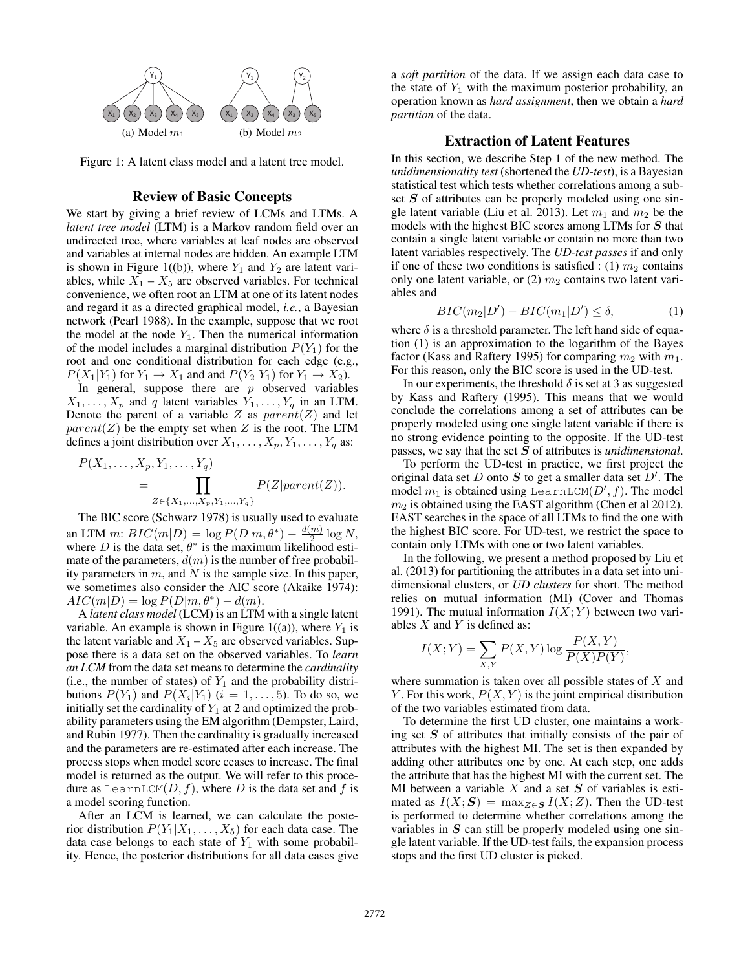

Figure 1: A latent class model and a latent tree model.

#### Review of Basic Concepts

We start by giving a brief review of LCMs and LTMs. A *latent tree model* (LTM) is a Markov random field over an undirected tree, where variables at leaf nodes are observed and variables at internal nodes are hidden. An example LTM is shown in Figure 1((b)), where  $Y_1$  and  $Y_2$  are latent variables, while  $X_1 - X_5$  are observed variables. For technical convenience, we often root an LTM at one of its latent nodes and regard it as a directed graphical model, *i.e.*, a Bayesian network (Pearl 1988). In the example, suppose that we root the model at the node  $Y_1$ . Then the numerical information of the model includes a marginal distribution  $P(Y_1)$  for the root and one conditional distribution for each edge (e.g.,  $P(X_1|Y_1)$  for  $Y_1 \rightarrow X_1$  and and  $P(Y_2|Y_1)$  for  $Y_1 \rightarrow X_2$ ).

In general, suppose there are  $p$  observed variables  $X_1, \ldots, X_p$  and q latent variables  $Y_1, \ldots, Y_q$  in an LTM. Denote the parent of a variable  $Z$  as  $parent(Z)$  and let  $parent(Z)$  be the empty set when Z is the root. The LTM defines a joint distribution over  $X_1, \ldots, X_p, Y_1, \ldots, Y_q$  as:

$$
P(X_1, \ldots, X_p, Y_1, \ldots, Y_q)
$$
  
= 
$$
\prod_{Z \in \{X_1, \ldots, X_p, Y_1, \ldots, Y_q\}} P(Z|parent(Z)).
$$

The BIC score (Schwarz 1978) is usually used to evaluate an LTM m:  $BIC(m|D) = \log P(D|m, \theta^*) - \frac{d(m)}{2} \log N$ , where D is the data set,  $\theta^*$  is the maximum likelihood estimate of the parameters,  $d(m)$  is the number of free probability parameters in  $m$ , and  $N$  is the sample size. In this paper, we sometimes also consider the AIC score (Akaike 1974):  $AIC(m|D) = \log P(D|m, \theta^*) - d(m).$ 

A *latent class model* (LCM) is an LTM with a single latent variable. An example is shown in Figure 1((a)), where  $Y_1$  is the latent variable and  $X_1 - X_5$  are observed variables. Suppose there is a data set on the observed variables. To *learn an LCM* from the data set means to determine the *cardinality* (i.e., the number of states) of  $Y_1$  and the probability distributions  $P(Y_1)$  and  $P(X_i|Y_1)$   $(i = 1, \ldots, 5)$ . To do so, we initially set the cardinality of  $Y_1$  at 2 and optimized the probability parameters using the EM algorithm (Dempster, Laird, and Rubin 1977). Then the cardinality is gradually increased and the parameters are re-estimated after each increase. The process stops when model score ceases to increase. The final model is returned as the output. We will refer to this procedure as LearnLCM $(D, f)$ , where D is the data set and f is a model scoring function.

After an LCM is learned, we can calculate the posterior distribution  $P(Y_1|X_1, \ldots, X_5)$  for each data case. The data case belongs to each state of  $Y_1$  with some probability. Hence, the posterior distributions for all data cases give

a *soft partition* of the data. If we assign each data case to the state of  $Y_1$  with the maximum posterior probability, an operation known as *hard assignment*, then we obtain a *hard partition* of the data.

### Extraction of Latent Features

In this section, we describe Step 1 of the new method. The *unidimensionality test* (shortened the *UD-test*), is a Bayesian statistical test which tests whether correlations among a subset  $S$  of attributes can be properly modeled using one single latent variable (Liu et al. 2013). Let  $m_1$  and  $m_2$  be the models with the highest BIC scores among LTMs for S that contain a single latent variable or contain no more than two latent variables respectively. The *UD-test passes* if and only if one of these two conditions is satisfied : (1)  $m_2$  contains only one latent variable, or  $(2)$   $m_2$  contains two latent variables and

$$
BIC(m_2|D') - BIC(m_1|D') \le \delta,
$$
\n(1)

where  $\delta$  is a threshold parameter. The left hand side of equation (1) is an approximation to the logarithm of the Bayes factor (Kass and Raftery 1995) for comparing  $m_2$  with  $m_1$ . For this reason, only the BIC score is used in the UD-test.

In our experiments, the threshold  $\delta$  is set at 3 as suggested by Kass and Raftery (1995). This means that we would conclude the correlations among a set of attributes can be properly modeled using one single latent variable if there is no strong evidence pointing to the opposite. If the UD-test passes, we say that the set S of attributes is *unidimensional*.

To perform the UD-test in practice, we first project the original data set D onto S to get a smaller data set  $D'$ . The model  $m_1$  is obtained using LearnLCM $(D', f)$ . The model  $m_2$  is obtained using the EAST algorithm (Chen et al 2012). EAST searches in the space of all LTMs to find the one with the highest BIC score. For UD-test, we restrict the space to contain only LTMs with one or two latent variables.

In the following, we present a method proposed by Liu et al. (2013) for partitioning the attributes in a data set into unidimensional clusters, or *UD clusters* for short. The method relies on mutual information (MI) (Cover and Thomas 1991). The mutual information  $I(X; Y)$  between two variables  $X$  and  $Y$  is defined as:

$$
I(X;Y) = \sum_{X,Y} P(X,Y) \log \frac{P(X,Y)}{P(X)P(Y)},
$$

where summation is taken over all possible states of  $X$  and Y. For this work,  $P(X, Y)$  is the joint empirical distribution of the two variables estimated from data.

To determine the first UD cluster, one maintains a working set  $S$  of attributes that initially consists of the pair of attributes with the highest MI. The set is then expanded by adding other attributes one by one. At each step, one adds the attribute that has the highest MI with the current set. The MI between a variable  $X$  and a set  $S$  of variables is estimated as  $I(X; S) = \max_{Z \in S} I(X; Z)$ . Then the UD-test is performed to determine whether correlations among the variables in  $S$  can still be properly modeled using one single latent variable. If the UD-test fails, the expansion process stops and the first UD cluster is picked.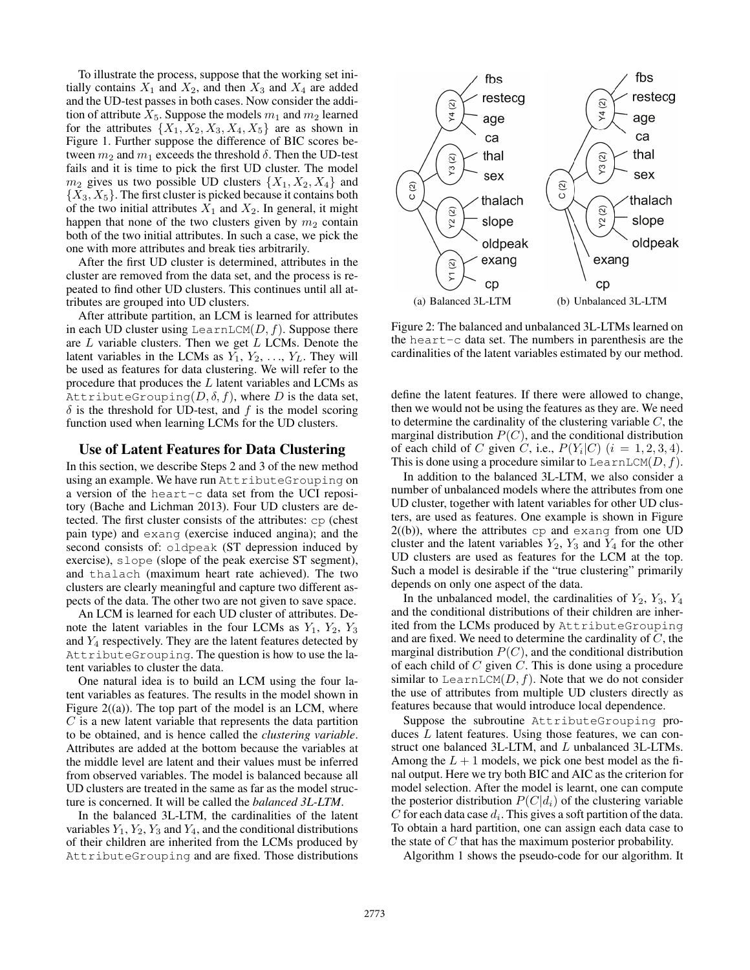To illustrate the process, suppose that the working set initially contains  $X_1$  and  $X_2$ , and then  $X_3$  and  $X_4$  are added and the UD-test passes in both cases. Now consider the addition of attribute  $X_5$ . Suppose the models  $m_1$  and  $m_2$  learned for the attributes  $\{X_1, X_2, X_3, X_4, X_5\}$  are as shown in Figure 1. Further suppose the difference of BIC scores between  $m_2$  and  $m_1$  exceeds the threshold  $\delta$ . Then the UD-test fails and it is time to pick the first UD cluster. The model  $m_2$  gives us two possible UD clusters  $\{X_1, X_2, X_4\}$  and  $\{X_3, X_5\}$ . The first cluster is picked because it contains both of the two initial attributes  $X_1$  and  $X_2$ . In general, it might happen that none of the two clusters given by  $m_2$  contain both of the two initial attributes. In such a case, we pick the one with more attributes and break ties arbitrarily.

After the first UD cluster is determined, attributes in the cluster are removed from the data set, and the process is repeated to find other UD clusters. This continues until all attributes are grouped into UD clusters.

After attribute partition, an LCM is learned for attributes in each UD cluster using LearnLCM $(D, f)$ . Suppose there are  $L$  variable clusters. Then we get  $L$  LCMs. Denote the latent variables in the LCMs as  $Y_1, Y_2, \ldots, Y_L$ . They will be used as features for data clustering. We will refer to the procedure that produces the L latent variables and LCMs as AttributeGrouping $(D, \delta, f)$ , where D is the data set,  $\delta$  is the threshold for UD-test, and f is the model scoring function used when learning LCMs for the UD clusters.

### Use of Latent Features for Data Clustering

In this section, we describe Steps 2 and 3 of the new method using an example. We have run AttributeGrouping on a version of the heart-c data set from the UCI repository (Bache and Lichman 2013). Four UD clusters are detected. The first cluster consists of the attributes: cp (chest pain type) and exang (exercise induced angina); and the second consists of: oldpeak (ST depression induced by exercise), slope (slope of the peak exercise ST segment), and thalach (maximum heart rate achieved). The two clusters are clearly meaningful and capture two different aspects of the data. The other two are not given to save space.

An LCM is learned for each UD cluster of attributes. Denote the latent variables in the four LCMs as  $Y_1$ ,  $Y_2$ ,  $Y_3$ and  $Y_4$  respectively. They are the latent features detected by AttributeGrouping. The question is how to use the latent variables to cluster the data.

One natural idea is to build an LCM using the four latent variables as features. The results in the model shown in Figure  $2((a))$ . The top part of the model is an LCM, where  $C$  is a new latent variable that represents the data partition to be obtained, and is hence called the *clustering variable*. Attributes are added at the bottom because the variables at the middle level are latent and their values must be inferred from observed variables. The model is balanced because all UD clusters are treated in the same as far as the model structure is concerned. It will be called the *balanced 3L-LTM*.

In the balanced 3L-LTM, the cardinalities of the latent variables  $Y_1, Y_2, Y_3$  and  $Y_4$ , and the conditional distributions of their children are inherited from the LCMs produced by AttributeGrouping and are fixed. Those distributions



Figure 2: The balanced and unbalanced 3L-LTMs learned on the heart-c data set. The numbers in parenthesis are the cardinalities of the latent variables estimated by our method.

define the latent features. If there were allowed to change, then we would not be using the features as they are. We need to determine the cardinality of the clustering variable  $C$ , the marginal distribution  $P(C)$ , and the conditional distribution of each child of C given C, i.e.,  $P(Y_i|C)$   $(i = 1, 2, 3, 4)$ . This is done using a procedure similar to LearnLCM( $D, f$ ).

In addition to the balanced 3L-LTM, we also consider a number of unbalanced models where the attributes from one UD cluster, together with latent variables for other UD clusters, are used as features. One example is shown in Figure  $2(0)$ , where the attributes  $cp$  and exang from one UD cluster and the latent variables  $Y_2$ ,  $Y_3$  and  $Y_4$  for the other UD clusters are used as features for the LCM at the top. Such a model is desirable if the "true clustering" primarily depends on only one aspect of the data.

In the unbalanced model, the cardinalities of  $Y_2$ ,  $Y_3$ ,  $Y_4$ and the conditional distributions of their children are inherited from the LCMs produced by AttributeGrouping and are fixed. We need to determine the cardinality of  $C$ , the marginal distribution  $P(C)$ , and the conditional distribution of each child of  $C$  given  $C$ . This is done using a procedure similar to LearnLCM $(D, f)$ . Note that we do not consider the use of attributes from multiple UD clusters directly as features because that would introduce local dependence.

Suppose the subroutine AttributeGrouping produces  $L$  latent features. Using those features, we can construct one balanced 3L-LTM, and L unbalanced 3L-LTMs. Among the  $L + 1$  models, we pick one best model as the final output. Here we try both BIC and AIC as the criterion for model selection. After the model is learnt, one can compute the posterior distribution  $P(C|d_i)$  of the clustering variable C for each data case  $d_i$ . This gives a soft partition of the data. To obtain a hard partition, one can assign each data case to the state of  $C$  that has the maximum posterior probability.

Algorithm 1 shows the pseudo-code for our algorithm. It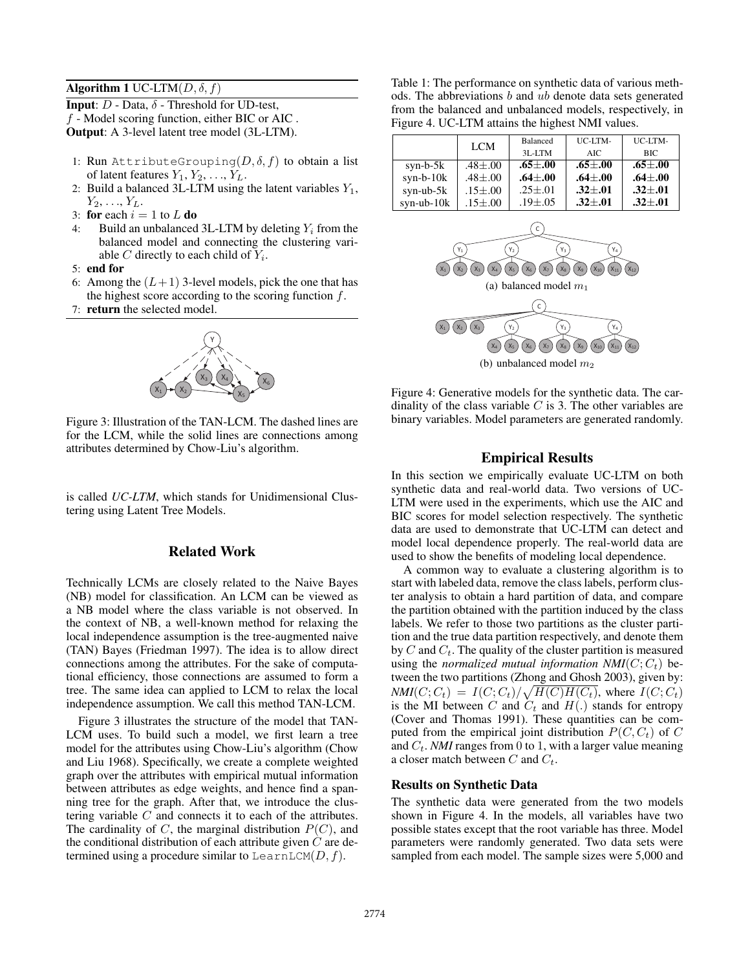### Algorithm 1 UC-LTM $(D, \delta, f)$

**Input:**  $D$  - Data,  $\delta$  - Threshold for UD-test, f - Model scoring function, either BIC or AIC . Output: A 3-level latent tree model (3L-LTM).

- 1: Run AttributeGrouping $(D, \delta, f)$  to obtain a list of latent features  $Y_1, Y_2, \ldots, Y_L$ .
- 2: Build a balanced 3L-LTM using the latent variables  $Y_1$ ,  $Y_2, \ldots, Y_L$ .
- 3: for each  $i = 1$  to  $L$  do
- 4: Build an unbalanced 3L-LTM by deleting  $Y_i$  from the balanced model and connecting the clustering variable  $C$  directly to each child of  $Y_i$ .
- 5: end for
- 6: Among the  $(L+1)$  3-level models, pick the one that has the highest score according to the scoring function  $f$ .
- 7: return the selected model.



Figure 3: Illustration of the TAN-LCM. The dashed lines are for the LCM, while the solid lines are connections among attributes determined by Chow-Liu's algorithm.

is called *UC-LTM*, which stands for Unidimensional Clustering using Latent Tree Models.

### Related Work

Technically LCMs are closely related to the Naive Bayes (NB) model for classification. An LCM can be viewed as a NB model where the class variable is not observed. In the context of NB, a well-known method for relaxing the local independence assumption is the tree-augmented naive (TAN) Bayes (Friedman 1997). The idea is to allow direct connections among the attributes. For the sake of computational efficiency, those connections are assumed to form a tree. The same idea can applied to LCM to relax the local independence assumption. We call this method TAN-LCM.

Figure 3 illustrates the structure of the model that TAN-LCM uses. To build such a model, we first learn a tree model for the attributes using Chow-Liu's algorithm (Chow and Liu 1968). Specifically, we create a complete weighted graph over the attributes with empirical mutual information between attributes as edge weights, and hence find a spanning tree for the graph. After that, we introduce the clustering variable C and connects it to each of the attributes. The cardinality of  $C$ , the marginal distribution  $P(C)$ , and the conditional distribution of each attribute given  $C$  are determined using a procedure similar to LearnLCM $(D, f)$ .

Table 1: The performance on synthetic data of various methods. The abbreviations  $b$  and  $ub$  denote data sets generated from the balanced and unbalanced models, respectively, in Figure 4. UC-LTM attains the highest NMI values.

|                  | <b>LCM</b>      | Balanced        | UC-LTM-     |                 |
|------------------|-----------------|-----------------|-------------|-----------------|
|                  |                 | $3L-LTM$        | AIC.        | <b>BIC</b>      |
| syn-b- $5k$      | $.48 {\pm} .00$ | $.65 {\pm} .00$ | $.65 + .00$ | .65 $\pm .00$   |
| $syn-b-10k$      | $.48 + .00$     | $.64 + .00$     | $.64 + .00$ | $.64 + .00$     |
| syn-ub- $5k$     | $.15 + .00$     | $.25 {\pm} .01$ | $.32 + .01$ | $.32 + .01$     |
| $syn$ -ub- $10k$ | $.15 + .00$     | $.19{\pm}.05$   | $.32 + .01$ | $.32 {\pm} .01$ |



Figure 4: Generative models for the synthetic data. The cardinality of the class variable  $C$  is 3. The other variables are binary variables. Model parameters are generated randomly.

### Empirical Results

In this section we empirically evaluate UC-LTM on both synthetic data and real-world data. Two versions of UC-LTM were used in the experiments, which use the AIC and BIC scores for model selection respectively. The synthetic data are used to demonstrate that UC-LTM can detect and model local dependence properly. The real-world data are used to show the benefits of modeling local dependence.

A common way to evaluate a clustering algorithm is to start with labeled data, remove the class labels, perform cluster analysis to obtain a hard partition of data, and compare the partition obtained with the partition induced by the class labels. We refer to those two partitions as the cluster partition and the true data partition respectively, and denote them by C and  $C_t$ . The quality of the cluster partition is measured using the *normalized mutual information NMI*( $C$ ;  $C_t$ ) between the two partitions (Zhong and Ghosh 2003), given by:  $NMI(C; C_t) = I(C; C_t)/\sqrt{H(C)H(C_t)}$ , where  $I(C; C_t)$ is the MI between C and  $C_t$  and  $H(.)$  stands for entropy (Cover and Thomas 1991). These quantities can be computed from the empirical joint distribution  $P(C, C_t)$  of C and  $C_t$ . *NMI* ranges from 0 to 1, with a larger value meaning a closer match between  $C$  and  $C_t$ .

#### Results on Synthetic Data

The synthetic data were generated from the two models shown in Figure 4. In the models, all variables have two possible states except that the root variable has three. Model parameters were randomly generated. Two data sets were sampled from each model. The sample sizes were 5,000 and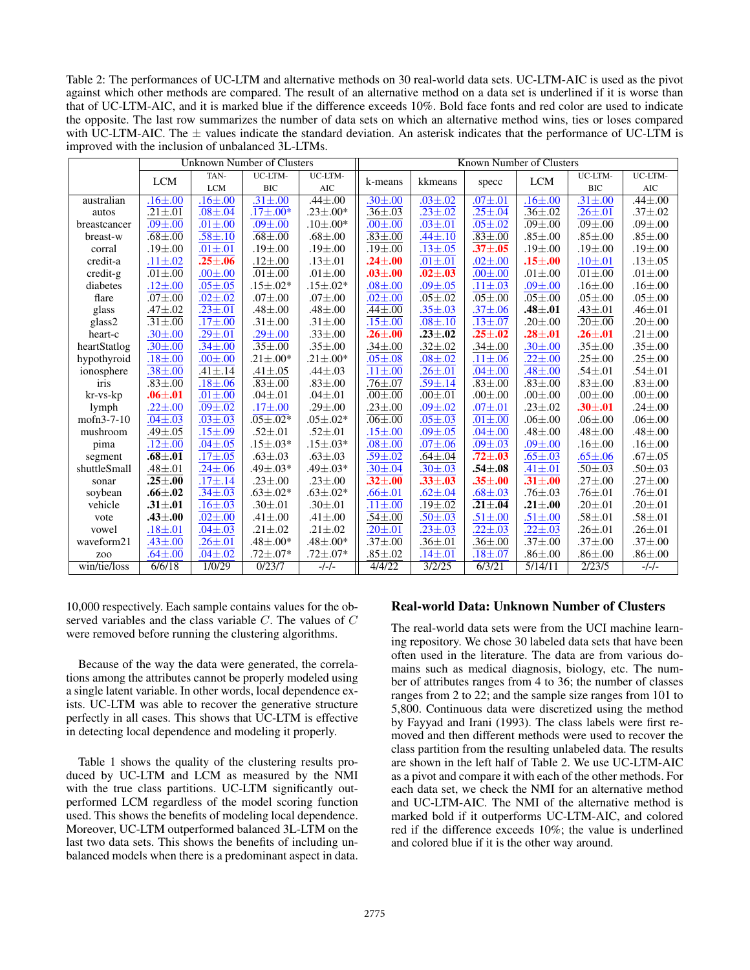Table 2: The performances of UC-LTM and alternative methods on 30 real-world data sets. UC-LTM-AIC is used as the pivot against which other methods are compared. The result of an alternative method on a data set is underlined if it is worse than that of UC-LTM-AIC, and it is marked blue if the difference exceeds 10%. Bold face fonts and red color are used to indicate the opposite. The last row summarizes the number of data sets on which an alternative method wins, ties or loses compared with UC-LTM-AIC. The  $\pm$  values indicate the standard deviation. An asterisk indicates that the performance of UC-LTM is improved with the inclusion of unbalanced 3L-LTMs.

|                 | <b>Unknown Number of Clusters</b> |                 | Known Number of Clusters |                  |                 |                 |                 |                 |                 |                 |
|-----------------|-----------------------------------|-----------------|--------------------------|------------------|-----------------|-----------------|-----------------|-----------------|-----------------|-----------------|
|                 | <b>LCM</b>                        | TAN-            | UC-LTM-                  | UC-LTM-          | k-means         | kkmeans         |                 | <b>LCM</b>      | UC-LTM-         | UC-LTM-         |
|                 |                                   | <b>LCM</b>      | <b>BIC</b>               | $\rm AIC$        |                 |                 | specc           |                 | <b>BIC</b>      | AIC             |
| australian      | $.16 \pm .00$                     | $.16 \pm .00$   | $.31 \pm .00$            | $.44 \pm .00$    | $.30 {\pm} .00$ | $.03 \pm .02$   | .071pm.01       | $.16 \pm .00$   | $.31 \pm .00$   | $.44 \pm .00$   |
| autos           | $\overline{.21} \pm .01$          | $.08 + .04$     | $.17 \pm .00*$           | $.23 \pm .00*$   | $.36{\pm}.03$   | $.23 \pm .02$   | $.25 \pm .04$   | $.36{\pm}.02$   | $.26 {\pm} .01$ | $.37{\pm}.02$   |
| breastcancer    | $.09 + .00$                       | $.01 + .00$     | $.09 + .00$              | $.10{\pm}.00*$   | $.00 \pm .00$   | $.03 \pm .01$   | $.05 {\pm} .02$ | $.09 + .00$     | $.091 \pm .00$  | $.09 + .00$     |
| breast-w        | $.68 + .00$                       | $.58 \pm .10$   | $.68 {\pm} .00$          | $.68 {\pm} .00$  | $.83 + .00$     | $.44 \pm .10$   | $.83 {\pm} .00$ | $.85 {\pm} .00$ | $.85 + .00$     | $.85 {\pm} .00$ |
| corral          | $.19 + .00$                       | $.01 \pm .01$   | $.19 + .00$              | $.19 + .00$      | $.19{\pm}.00$   | $.13 \pm .05$   | $.37 + .05$     | $.19 \pm .00$   | .19 $\pm$ .00   | $.19{\pm}.00$   |
| credit-a        | $.11 \pm .02$                     | $.25 \pm .06$   | $.12 \pm .00$            | $.13 \pm .01$    | $.24 {\pm} .00$ | $.01 + .01$     | $.02 + .00$     | $.15 + .00$     | $.10{\pm}.01$   | $.13 \pm .05$   |
| $credit-g$      | $.01 + .00$                       | $.00 \pm .00$   | $.01 + .00$              | $.01 + .00$      | $.03 + .00$     | $.02 \pm .03$   | $.00 \pm .00$   | $.01 + .00$     | $.01 + .00$     | $.01 + .00$     |
| diabetes        | $.12 \pm .00$                     | $.05 + .05$     | $.15{\pm}.02*$           | $.15 \pm .02*$   | .081 .00        | $.09{\pm}.05$   | $.11 \pm .03$   | $.09 \pm .00$   | .16 $\pm$ .00   | $.16{\pm}.00$   |
| flare           | .071pm.00                         | $.02 + .02$     | .071pm.00                | .071pm.00        | $.02 + .00$     | $.05 + .02$     | $.05 + .00$     | $.05 + .00$     | $.05 + .00$     | $.05 + .00$     |
| glass           | $.47 \pm .02$                     | $.23 \pm .01$   | $.48 + .00$              | $.48{\pm}.00$    | $.44 \pm .00$   | $.35 \pm .03$   | $.37{\pm}.06$   | $.48 {\pm} .01$ | $.43 \pm .01$   | $.46{\pm}.01$   |
| glass2          | $\overline{.31} \pm .00$          | $.17 + .00$     | $.31 \pm .00$            | $.31 \pm .00$    | $.15 \pm .00$   | $.08 + .10$     | $.13{\pm}.07$   | .20 $\pm$ .00   | .20 $\pm$ .00   | $.20{\pm}.00$   |
| heart-c         | $.30{\pm}.00$                     | $.29{\pm}.01$   | $.29 {\pm} .00$          | $.33 + .00$      | $.26 {\pm} .00$ | $.23 \pm .02$   | $.25 {\pm} .02$ | $.28 {\pm} .01$ | .26 $\pm .01$   | $.21 \pm .00$   |
| heartStatlog    | $.30{\pm}.00$                     | $.34 \pm .00$   | $.35 + .00$              | $.35 + .00$      | $.34 {\pm} .00$ | $.32 \pm .02$   | $.34 {\pm} .00$ | $.30{\pm}.00$   | $.35 \pm .00$   | $.35 + .00$     |
| hypothyroid     | $.18 + .00$                       | $.00 + .00$     | $.21 \pm .00*$           | $.21 \pm .00*$   | $.05 + .08$     | $.08 + .02$     | $.11 \pm .06$   | $.22 {\pm} .00$ | $.25 \pm .00$   | $.25 {\pm} .00$ |
| ionosphere      | $.38 \pm .00$                     | $.41 \pm .14$   | $.41 \pm .05$            | $.44 \pm .03$    | $.11 \pm .00$   | $.26 {\pm} .01$ | .041pm.00       | $.48 \pm .00$   | $.54 \pm .01$   | $.54 \pm .01$   |
| iris            | $.83 + .00$                       | $.18 + .06$     | $.83 + .00$              | $.83 + .00$      | $.76 {\pm} .07$ | $.59{\pm}.14$   | $.83 + .00$     | $.83 + .00$     | $.83 \pm .00$   | $.83 \pm .00$   |
| $kr$ -vs- $kp$  | $.06 {\pm} .01$                   | $.01 + .00$     | $.04 + .01$              | $.04 + .01$      | $.001 \pm .00$  | $.00 + .01$     | $.00 + .00$     | $.00 \pm .00$   | $.00 \pm .00$   | $.00 \pm .00$   |
| lymph           | $.22 {\pm} .00$                   | $.09{\pm}.02$   | .171pm.00                | $.29 \pm .00$    | $.23 {\pm} .00$ | $.09 + .02$     | .071pm.01       | $.23 \pm .02$   | $.30 {\pm} .01$ | $.24 \pm .00$   |
| $mofn3-7-10$    | $.04 \pm .03$                     | $.03 \pm .03$   | $.05 \pm .02*$           | $.05 \pm .02*$   | $.061 \pm .00$  | $.05 + .03$     | $.01 + .00$     | $.06 + .00$     | $.06 \pm .00$   | $.06 + .00$     |
| mushroom        | $.49 + .05$                       | $.15 {\pm} .09$ | $.52 {\pm} .01$          | $.52 {\pm} .01$  | $.15 {\pm} .00$ | $.09 + .05$     | .04 $\pm$ .00   | $.48{\pm}.00$   | $.48{\pm}.00$   | $.48{\pm}.00$   |
| pima            | $.12 \pm .00$                     | $.04 \pm .05$   | $.15 \pm .03*$           | $.15 \pm .03*$   | $.08 + .00$     | $.07 \pm .06$   | $.09 \pm .03$   | $.09 + .00$     | $.16 - .00$     | $.16{\pm}.00$   |
| segment         | $.68 {\pm} .01$                   | $.17 + .05$     | $.63 \pm .03$            | $.63 \pm .03$    | $.59 {\pm} .02$ | $.64 {\pm} .04$ | $.72 {\pm} .03$ | $.65 {\pm} .03$ | $.65{\pm}.06$   | $.67 + .05$     |
| shuttleSmall    | $.48 + .01$                       | $.24 \pm .06$   | $.49{\pm}.03*$           | $.49 \pm .03*$   | $.30{\pm}.04$   | $.30{\pm}.03$   | $.54 {\pm} .08$ | $.41 \pm .01$   | $.50 \pm .03$   | $.50{\pm}.03$   |
| sonar           | $.25 {\pm} .00$                   | $.17{\pm}.14$   | $.23 \pm .00$            | $.23 \pm .00$    | .32 $\pm .00$   | $.33{\pm}.03$   | .35 $\pm .00$   | $.31 {\pm} .00$ | $.27 \pm .00$   | $.27 \pm .00$   |
| soybean         | $.66 {\pm} .02$                   | $.34 \pm .03$   | $.63 \pm .02*$           | $.63 \pm .02*$   | $.66 {\pm} .01$ | $.62{\pm}.04$   | $.68{\pm}.03$   | $.76{\pm}.03$   | .76 $\pm .01$   | .76 $\pm .01$   |
| vehicle         | $.31 {\pm} .01$                   | $.16 \pm .03$   | $.30{\pm}.01$            | $.30{\pm}.01$    | $.11 \pm .00$   | $.19 \pm .02$   | $.21 {\pm} .04$ | $.21 {\pm} .00$ | .20 $\pm$ .01   | $.20{\pm}.01$   |
| vote            | $.43 {\pm} .00$                   | $.02 + .00$     | $.41 \pm .00$            | $.41 \pm .00$    | $.54 {\pm} .00$ | $.50 \pm .03$   | $.51 \pm .00$   | $.51 {\pm} .00$ | $.58{\pm}.01$   | $.58{\pm}.01$   |
| vowel           | $.18 + .01$                       | $.04 \pm .03$   | $.21 \pm .02$            | $.21 \pm .02$    | $.20 \pm .01$   | $.23 \pm .03$   | $.22{\pm}.03$   | $.22 \pm .03$   | $.26{\pm}.01$   | $.26 {\pm} .01$ |
| waveform21      | $.43 \pm .00$                     | $.26 {\pm} .01$ | $.48{\pm}.00*$           | $.48 + .00*$     | $.37 {\pm} .00$ | $.36{\pm}.01$   | .36 $\pm.00$    | $.37{\pm}.00$   | $.37 \pm .00$   | $.37{\pm}.00$   |
| Z <sub>00</sub> | .64 $\pm$ .00                     | $.04 \pm .02$   | $.72 {\pm} .07*$         | $.72 {\pm} .07*$ | $.85 {\pm} .02$ | $.14 \pm .01$   | $.18 {\pm} .07$ | $.86 {\pm} .00$ | $.86 {\pm} .00$ | $.86 {\pm} .00$ |
| win/tie/loss    | 6/6/18                            | 1/0/29          | 0/23/7                   | $-/-/-$          | 4/4/22          | 3/2/25          | 6/3/21          | 5/14/11         | 2/23/5          | $-/-/-$         |

10,000 respectively. Each sample contains values for the observed variables and the class variable C. The values of C were removed before running the clustering algorithms.

Because of the way the data were generated, the correlations among the attributes cannot be properly modeled using a single latent variable. In other words, local dependence exists. UC-LTM was able to recover the generative structure perfectly in all cases. This shows that UC-LTM is effective in detecting local dependence and modeling it properly.

Table 1 shows the quality of the clustering results produced by UC-LTM and LCM as measured by the NMI with the true class partitions. UC-LTM significantly outperformed LCM regardless of the model scoring function used. This shows the benefits of modeling local dependence. Moreover, UC-LTM outperformed balanced 3L-LTM on the last two data sets. This shows the benefits of including unbalanced models when there is a predominant aspect in data.

## Real-world Data: Unknown Number of Clusters

The real-world data sets were from the UCI machine learning repository. We chose 30 labeled data sets that have been often used in the literature. The data are from various domains such as medical diagnosis, biology, etc. The number of attributes ranges from 4 to 36; the number of classes ranges from 2 to 22; and the sample size ranges from 101 to 5,800. Continuous data were discretized using the method by Fayyad and Irani (1993). The class labels were first removed and then different methods were used to recover the class partition from the resulting unlabeled data. The results are shown in the left half of Table 2. We use UC-LTM-AIC as a pivot and compare it with each of the other methods. For each data set, we check the NMI for an alternative method and UC-LTM-AIC. The NMI of the alternative method is marked bold if it outperforms UC-LTM-AIC, and colored red if the difference exceeds 10%; the value is underlined and colored blue if it is the other way around.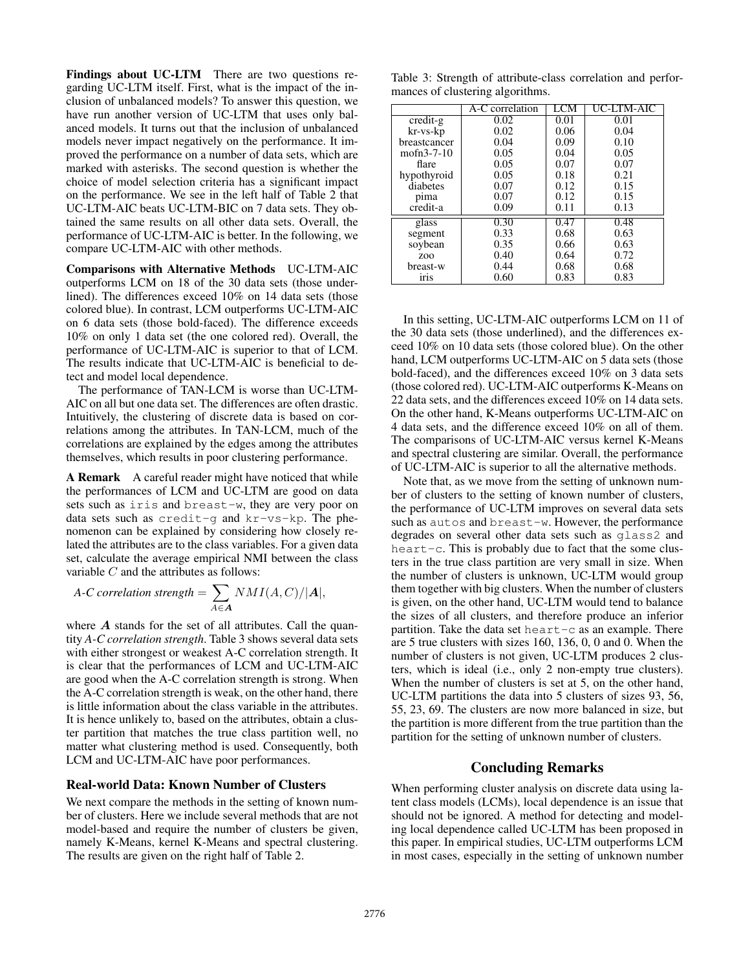Findings about UC-LTM There are two questions regarding UC-LTM itself. First, what is the impact of the inclusion of unbalanced models? To answer this question, we have run another version of UC-LTM that uses only balanced models. It turns out that the inclusion of unbalanced models never impact negatively on the performance. It improved the performance on a number of data sets, which are marked with asterisks. The second question is whether the choice of model selection criteria has a significant impact on the performance. We see in the left half of Table 2 that UC-LTM-AIC beats UC-LTM-BIC on 7 data sets. They obtained the same results on all other data sets. Overall, the performance of UC-LTM-AIC is better. In the following, we compare UC-LTM-AIC with other methods.

Comparisons with Alternative Methods UC-LTM-AIC outperforms LCM on 18 of the 30 data sets (those underlined). The differences exceed 10% on 14 data sets (those colored blue). In contrast, LCM outperforms UC-LTM-AIC on 6 data sets (those bold-faced). The difference exceeds 10% on only 1 data set (the one colored red). Overall, the performance of UC-LTM-AIC is superior to that of LCM. The results indicate that UC-LTM-AIC is beneficial to detect and model local dependence.

The performance of TAN-LCM is worse than UC-LTM-AIC on all but one data set. The differences are often drastic. Intuitively, the clustering of discrete data is based on correlations among the attributes. In TAN-LCM, much of the correlations are explained by the edges among the attributes themselves, which results in poor clustering performance.

A Remark A careful reader might have noticed that while the performances of LCM and UC-LTM are good on data sets such as iris and breast-w, they are very poor on data sets such as credit-g and kr-vs-kp. The phenomenon can be explained by considering how closely related the attributes are to the class variables. For a given data set, calculate the average empirical NMI between the class variable C and the attributes as follows:

A-C correlation strength = 
$$
\sum_{A \in \mathbf{A}} NMI(A, C)/|\mathbf{A}|,
$$

where  $A$  stands for the set of all attributes. Call the quantity *A-C correlation strength*. Table 3 shows several data sets with either strongest or weakest A-C correlation strength. It is clear that the performances of LCM and UC-LTM-AIC are good when the A-C correlation strength is strong. When the A-C correlation strength is weak, on the other hand, there is little information about the class variable in the attributes. It is hence unlikely to, based on the attributes, obtain a cluster partition that matches the true class partition well, no matter what clustering method is used. Consequently, both LCM and UC-LTM-AIC have poor performances.

### Real-world Data: Known Number of Clusters

We next compare the methods in the setting of known number of clusters. Here we include several methods that are not model-based and require the number of clusters be given, namely K-Means, kernel K-Means and spectral clustering. The results are given on the right half of Table 2.

Table 3: Strength of attribute-class correlation and performances of clustering algorithms.

|                              | A-C correlation | LCM  | UC-LTM-AIC |
|------------------------------|-----------------|------|------------|
| $\overline{\text{credit-g}}$ | 0.02            | 0.01 | 0.01       |
| kr-vs-kp                     | 0.02            | 0.06 | 0.04       |
| breastcancer                 | 0.04            | 0.09 | 0.10       |
| $mofn3-7-10$                 | 0.05            | 0.04 | 0.05       |
| flare                        | 0.05            | 0.07 | 0.07       |
| hypothyroid                  | 0.05            | 0.18 | 0.21       |
| diabetes                     | 0.07            | 0.12 | 0.15       |
| pima                         | 0.07            | 0.12 | 0.15       |
| credit-a                     | 0.09            | 0.11 | 0.13       |
| glass                        | 0.30            | 0.47 | 0.48       |
| segment                      | 0.33            | 0.68 | 0.63       |
| soybean                      | 0.35            | 0.66 | 0.63       |
| Z <sub>O</sub> O             | 0.40            | 0.64 | 0.72       |
| breast-w                     | 0.44            | 0.68 | 0.68       |
| iris                         | 0.60            | 0.83 | 0.83       |

In this setting, UC-LTM-AIC outperforms LCM on 11 of the 30 data sets (those underlined), and the differences exceed 10% on 10 data sets (those colored blue). On the other hand, LCM outperforms UC-LTM-AIC on 5 data sets (those bold-faced), and the differences exceed 10% on 3 data sets (those colored red). UC-LTM-AIC outperforms K-Means on 22 data sets, and the differences exceed 10% on 14 data sets. On the other hand, K-Means outperforms UC-LTM-AIC on 4 data sets, and the difference exceed 10% on all of them. The comparisons of UC-LTM-AIC versus kernel K-Means and spectral clustering are similar. Overall, the performance of UC-LTM-AIC is superior to all the alternative methods.

Note that, as we move from the setting of unknown number of clusters to the setting of known number of clusters, the performance of UC-LTM improves on several data sets such as autos and breast-w. However, the performance degrades on several other data sets such as glass2 and heart-c. This is probably due to fact that the some clusters in the true class partition are very small in size. When the number of clusters is unknown, UC-LTM would group them together with big clusters. When the number of clusters is given, on the other hand, UC-LTM would tend to balance the sizes of all clusters, and therefore produce an inferior partition. Take the data set heart-c as an example. There are 5 true clusters with sizes 160, 136, 0, 0 and 0. When the number of clusters is not given, UC-LTM produces 2 clusters, which is ideal (i.e., only 2 non-empty true clusters). When the number of clusters is set at 5, on the other hand, UC-LTM partitions the data into 5 clusters of sizes 93, 56, 55, 23, 69. The clusters are now more balanced in size, but the partition is more different from the true partition than the partition for the setting of unknown number of clusters.

### Concluding Remarks

When performing cluster analysis on discrete data using latent class models (LCMs), local dependence is an issue that should not be ignored. A method for detecting and modeling local dependence called UC-LTM has been proposed in this paper. In empirical studies, UC-LTM outperforms LCM in most cases, especially in the setting of unknown number